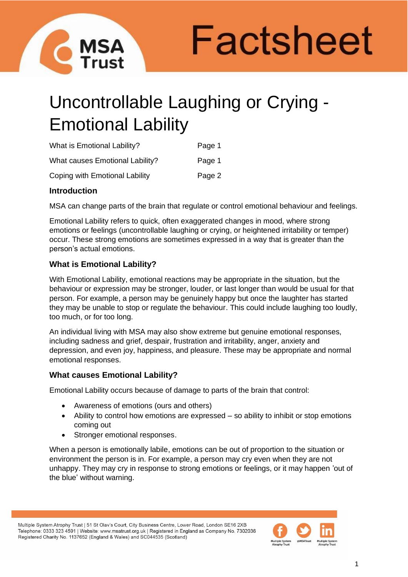

Factsheet

# Uncontrollable Laughing or Crying - Emotional Lability

| <b>What is Emotional Lability?</b>     | Page 1 |
|----------------------------------------|--------|
| <b>What causes Emotional Lability?</b> | Page 1 |
| Coping with Emotional Lability         | Page 2 |

# **Introduction**

MSA can change parts of the brain that regulate or control emotional behaviour and feelings.

Emotional Lability refers to quick, often exaggerated changes in mood, where strong emotions or feelings (uncontrollable laughing or crying, or heightened irritability or temper) occur. These strong emotions are sometimes expressed in a way that is greater than the person's actual emotions.

# **What is Emotional Lability?**

With Emotional Lability, emotional reactions may be appropriate in the situation, but the behaviour or expression may be stronger, louder, or last longer than would be usual for that person. For example, a person may be genuinely happy but once the laughter has started they may be unable to stop or regulate the behaviour. This could include laughing too loudly, too much, or for too long.

An individual living with MSA may also show extreme but genuine emotional responses, including sadness and grief, despair, frustration and irritability, anger, anxiety and depression, and even joy, happiness, and pleasure. These may be appropriate and normal emotional responses.

# **What causes Emotional Lability?**

Emotional Lability occurs because of damage to parts of the brain that control:

- Awareness of emotions (ours and others)
- Ability to control how emotions are expressed so ability to inhibit or stop emotions coming out
- Stronger emotional responses.

When a person is emotionally labile, emotions can be out of proportion to the situation or environment the person is in. For example, a person may cry even when they are not unhappy. They may cry in response to strong emotions or feelings, or it may happen 'out of the blue' without warning.

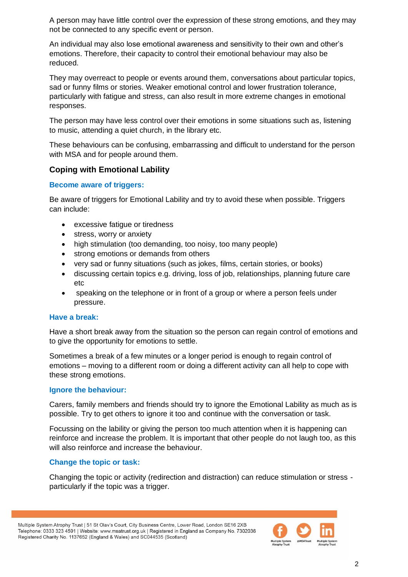A person may have little control over the expression of these strong emotions, and they may not be connected to any specific event or person.

An individual may also lose emotional awareness and sensitivity to their own and other's emotions. Therefore, their capacity to control their emotional behaviour may also be reduced.

They may overreact to people or events around them, conversations about particular topics, sad or funny films or stories. Weaker emotional control and lower frustration tolerance, particularly with fatigue and stress, can also result in more extreme changes in emotional responses.

The person may have less control over their emotions in some situations such as, listening to music, attending a quiet church, in the library etc.

These behaviours can be confusing, embarrassing and difficult to understand for the person with MSA and for people around them.

# **Coping with Emotional Lability**

## **Become aware of triggers:**

Be aware of triggers for Emotional Lability and try to avoid these when possible. Triggers can include:

- excessive fatigue or tiredness
- stress, worry or anxiety
- high stimulation (too demanding, too noisy, too many people)
- strong emotions or demands from others
- very sad or funny situations (such as jokes, films, certain stories, or books)
- discussing certain topics e.g. driving, loss of job, relationships, planning future care etc
- speaking on the telephone or in front of a group or where a person feels under pressure.

#### **Have a break:**

Have a short break away from the situation so the person can regain control of emotions and to give the opportunity for emotions to settle.

Sometimes a break of a few minutes or a longer period is enough to regain control of emotions – moving to a different room or doing a different activity can all help to cope with these strong emotions.

#### **Ignore the behaviour:**

Carers, family members and friends should try to ignore the Emotional Lability as much as is possible. Try to get others to ignore it too and continue with the conversation or task.

Focussing on the lability or giving the person too much attention when it is happening can reinforce and increase the problem. It is important that other people do not laugh too, as this will also reinforce and increase the behaviour.

## **Change the topic or task:**

Changing the topic or activity (redirection and distraction) can reduce stimulation or stress particularly if the topic was a trigger.

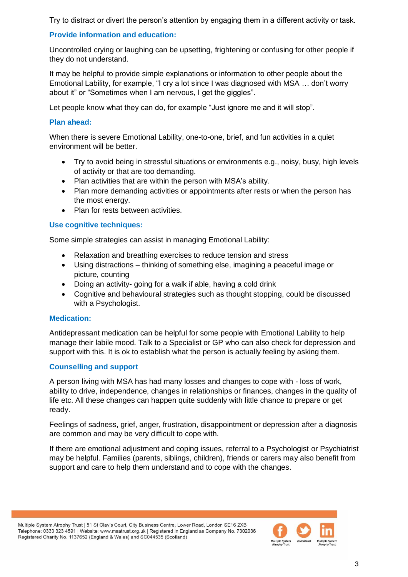Try to distract or divert the person's attention by engaging them in a different activity or task.

# **Provide information and education:**

Uncontrolled crying or laughing can be upsetting, frightening or confusing for other people if they do not understand.

It may be helpful to provide simple explanations or information to other people about the Emotional Lability, for example, "I cry a lot since I was diagnosed with MSA … don't worry about it" or "Sometimes when I am nervous, I get the giggles".

Let people know what they can do, for example "Just ignore me and it will stop".

# **Plan ahead:**

When there is severe Emotional Lability, one-to-one, brief, and fun activities in a quiet environment will be better.

- Try to avoid being in stressful situations or environments e.g., noisy, busy, high levels of activity or that are too demanding.
- Plan activities that are within the person with MSA's ability.
- Plan more demanding activities or appointments after rests or when the person has the most energy.
- Plan for rests between activities.

# **Use cognitive techniques:**

Some simple strategies can assist in managing Emotional Lability:

- Relaxation and breathing exercises to reduce tension and stress
- Using distractions thinking of something else, imagining a peaceful image or picture, counting
- Doing an activity- going for a walk if able, having a cold drink
- Cognitive and behavioural strategies such as thought stopping, could be discussed with a Psychologist.

# **Medication:**

Antidepressant medication can be helpful for some people with Emotional Lability to help manage their labile mood. Talk to a Specialist or GP who can also check for depression and support with this. It is ok to establish what the person is actually feeling by asking them.

# **Counselling and support**

A person living with MSA has had many losses and changes to cope with - loss of work, ability to drive, independence, changes in relationships or finances, changes in the quality of life etc. All these changes can happen quite suddenly with little chance to prepare or get ready.

Feelings of sadness, grief, anger, frustration, disappointment or depression after a diagnosis are common and may be very difficult to cope with.

If there are emotional adjustment and coping issues, referral to a Psychologist or Psychiatrist may be helpful. Families (parents, siblings, children), friends or carers may also benefit from support and care to help them understand and to cope with the changes.

Multiple System Atrophy Trust | 51 St Olav's Court, City Business Centre, Lower Road, London SE16 2XB Telephone: 0333 323 4591 | Website: www.msatrust.org.uk | Registered in England as Company No. 7302036 Registered Charity No. 1137652 (England & Wales) and SC044535 (Scotland)